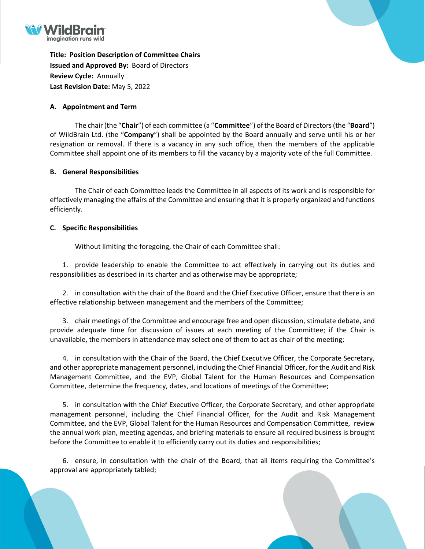

**Title: Position Description of Committee Chairs Issued and Approved By:** Board of Directors **Review Cycle:** Annually **Last Revision Date:** May 5, 2022

## **A. Appointment and Term**

The chair(the "**Chair**") of each committee (a "**Committee**") of the Board of Directors(the "**Board**") of WildBrain Ltd. (the "**Company**") shall be appointed by the Board annually and serve until his or her resignation or removal. If there is a vacancy in any such office, then the members of the applicable Committee shall appoint one of its members to fill the vacancy by a majority vote of the full Committee.

## **B. General Responsibilities**

The Chair of each Committee leads the Committee in all aspects of its work and is responsible for effectively managing the affairs of the Committee and ensuring that it is properly organized and functions efficiently.

## **C. Specific Responsibilities**

Without limiting the foregoing, the Chair of each Committee shall:

1. provide leadership to enable the Committee to act effectively in carrying out its duties and responsibilities as described in its charter and as otherwise may be appropriate;

2. in consultation with the chair of the Board and the Chief Executive Officer, ensure that there is an effective relationship between management and the members of the Committee;

3. chair meetings of the Committee and encourage free and open discussion, stimulate debate, and provide adequate time for discussion of issues at each meeting of the Committee; if the Chair is unavailable, the members in attendance may select one of them to act as chair of the meeting;

4. in consultation with the Chair of the Board, the Chief Executive Officer, the Corporate Secretary, and other appropriate management personnel, including the Chief Financial Officer, for the Audit and Risk Management Committee, and the EVP, Global Talent for the Human Resources and Compensation Committee, determine the frequency, dates, and locations of meetings of the Committee;

5. in consultation with the Chief Executive Officer, the Corporate Secretary, and other appropriate management personnel, including the Chief Financial Officer, for the Audit and Risk Management Committee, and the EVP, Global Talent for the Human Resources and Compensation Committee, review the annual work plan, meeting agendas, and briefing materials to ensure all required business is brought before the Committee to enable it to efficiently carry out its duties and responsibilities;

6. ensure, in consultation with the chair of the Board, that all items requiring the Committee's approval are appropriately tabled;